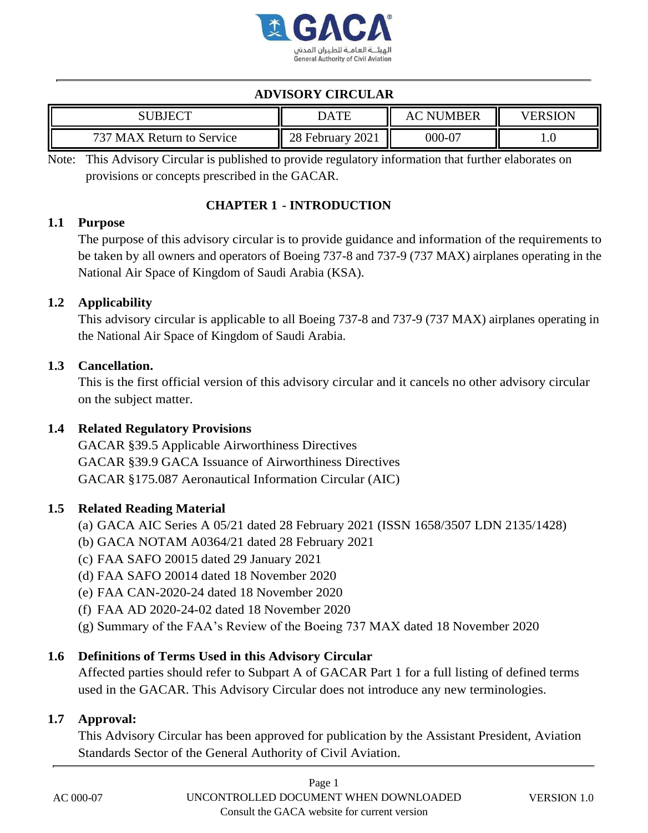

# **ADVISORY CIRCULAR**

| JBJECT                              | <b>DATE</b>                    | <b>MBER</b><br>NI | <b>VERSION</b> |
|-------------------------------------|--------------------------------|-------------------|----------------|
| ワクワ<br>Return to Service<br>MA<br>X | 2021<br>no.<br><b>February</b> | $000 - 0^{\circ}$ | 1.U            |

Note: This Advisory Circular is published to provide regulatory information that further elaborates on provisions or concepts prescribed in the GACAR.

### **CHAPTER 1 - INTRODUCTION**

### **1.1 Purpose**

The purpose of this advisory circular is to provide guidance and information of the requirements to be taken by all owners and operators of Boeing 737-8 and 737-9 (737 MAX) airplanes operating in the National Air Space of Kingdom of Saudi Arabia (KSA).

### **1.2 Applicability**

This advisory circular is applicable to all Boeing 737-8 and 737-9 (737 MAX) airplanes operating in the National Air Space of Kingdom of Saudi Arabia.

### **1.3 Cancellation.**

This is the first official version of this advisory circular and it cancels no other advisory circular on the subject matter.

## **1.4 Related Regulatory Provisions**

GACAR §39.5 Applicable Airworthiness Directives GACAR §39.9 GACA Issuance of Airworthiness Directives GACAR §175.087 Aeronautical Information Circular (AIC)

### <span id="page-0-0"></span>**1.5 Related Reading Material**

- (a) GACA AIC Series A 05/21 dated 28 February 2021 (ISSN 1658/3507 LDN 2135/1428)
- (b) GACA NOTAM A0364/21 dated 28 February 2021
- (c) FAA SAFO 20015 dated 29 January 2021
- (d) FAA SAFO 20014 dated 18 November 2020
- (e) FAA CAN-2020-24 dated 18 November 2020
- <span id="page-0-1"></span>(f) FAA AD 2020-24-02 dated 18 November 2020
- (g) Summary of the FAA's Review of the Boeing 737 MAX dated 18 November 2020

## **1.6 Definitions of Terms Used in this Advisory Circular**

Affected parties should refer to Subpart A of GACAR Part 1 for a full listing of defined terms used in the GACAR. This Advisory Circular does not introduce any new terminologies.

### **1.7 Approval:**

This Advisory Circular has been approved for publication by the Assistant President, Aviation Standards Sector of the General Authority of Civil Aviation.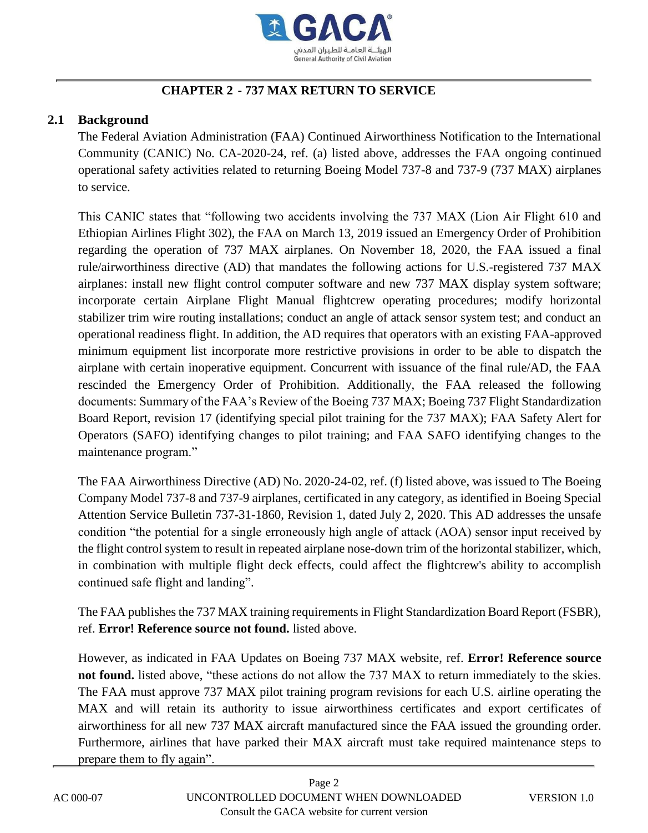

## **CHAPTER 2 - 737 MAX RETURN TO SERVICE**

#### **2.1 Background**

The Federal Aviation Administration (FAA) Continued Airworthiness Notification to the International Community (CANIC) No. CA-2020-24, ref. [\(a\)](#page-0-0) listed above, addresses the FAA ongoing continued operational safety activities related to returning Boeing Model 737-8 and 737-9 (737 MAX) airplanes to service.

This CANIC states that "following two accidents involving the 737 MAX (Lion Air Flight 610 and Ethiopian Airlines Flight 302), the FAA on March 13, 2019 issued an Emergency Order of Prohibition regarding the operation of 737 MAX airplanes. On November 18, 2020, the FAA issued a final rule/airworthiness directive (AD) that mandates the following actions for U.S.-registered 737 MAX airplanes: install new flight control computer software and new 737 MAX display system software; incorporate certain Airplane Flight Manual flightcrew operating procedures; modify horizontal stabilizer trim wire routing installations; conduct an angle of attack sensor system test; and conduct an operational readiness flight. In addition, the AD requires that operators with an existing FAA-approved minimum equipment list incorporate more restrictive provisions in order to be able to dispatch the airplane with certain inoperative equipment. Concurrent with issuance of the final rule/AD, the FAA rescinded the Emergency Order of Prohibition. Additionally, the FAA released the following documents: Summary of the FAA's Review of the Boeing 737 MAX; Boeing 737 Flight Standardization Board Report, revision 17 (identifying special pilot training for the 737 MAX); FAA Safety Alert for Operators (SAFO) identifying changes to pilot training; and FAA SAFO identifying changes to the maintenance program."

The FAA Airworthiness Directive (AD) No. 2020-24-02, ref. [\(f\)](#page-0-1) listed above, was issued to The Boeing Company Model 737-8 and 737-9 airplanes, certificated in any category, as identified in Boeing Special Attention Service Bulletin 737-31-1860, Revision 1, dated July 2, 2020. This AD addresses the unsafe condition "the potential for a single erroneously high angle of attack (AOA) sensor input received by the flight control system to result in repeated airplane nose-down trim of the horizontal stabilizer, which, in combination with multiple flight deck effects, could affect the flightcrew's ability to accomplish continued safe flight and landing".

The FAA publishes the 737 MAX training requirements in Flight Standardization Board Report (FSBR), ref. **Error! Reference source not found.** listed above.

However, as indicated in FAA Updates on Boeing 737 MAX website, ref. **Error! Reference source not found.** listed above, "these actions do not allow the 737 MAX to return immediately to the skies. The FAA must approve 737 MAX pilot training program revisions for each U.S. airline operating the MAX and will retain its authority to issue airworthiness certificates and export certificates of airworthiness for all new 737 MAX aircraft manufactured since the FAA issued the grounding order. Furthermore, airlines that have parked their MAX aircraft must take required maintenance steps to prepare them to fly again".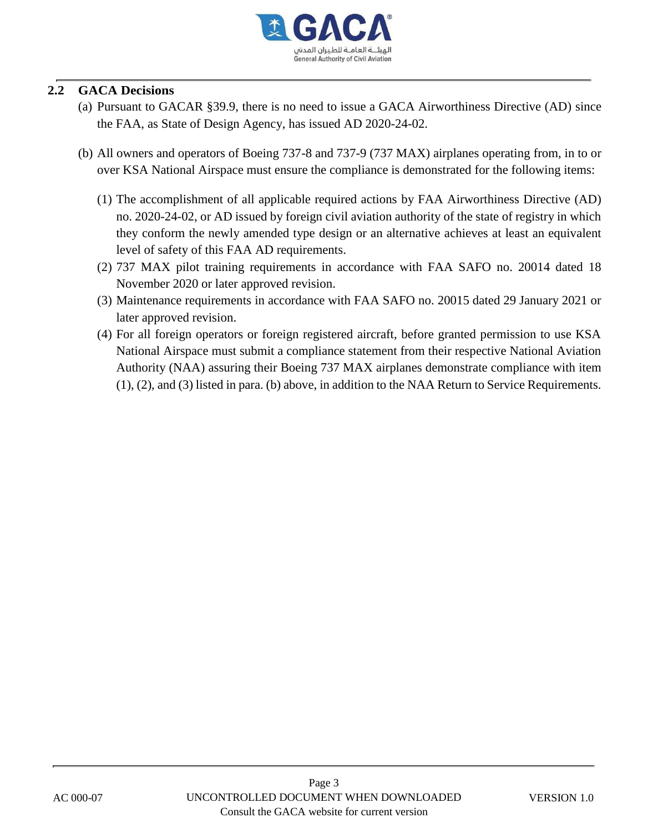

### **2.2 GACA Decisions**

- (a) Pursuant to GACAR §39.9, there is no need to issue a GACA Airworthiness Directive (AD) since the FAA, as State of Design Agency, has issued AD 2020-24-02.
- (b) All owners and operators of Boeing 737-8 and 737-9 (737 MAX) airplanes operating from, in to or over KSA National Airspace must ensure the compliance is demonstrated for the following items:
	- (1) The accomplishment of all applicable required actions by FAA Airworthiness Directive (AD) no. 2020-24-02, or AD issued by foreign civil aviation authority of the state of registry in which they conform the newly amended type design or an alternative achieves at least an equivalent level of safety of this FAA AD requirements.
	- (2) 737 MAX pilot training requirements in accordance with FAA SAFO no. 20014 dated 18 November 2020 or later approved revision.
	- (3) Maintenance requirements in accordance with FAA SAFO no. 20015 dated 29 January 2021 or later approved revision.
	- (4) For all foreign operators or foreign registered aircraft, before granted permission to use KSA National Airspace must submit a compliance statement from their respective National Aviation Authority (NAA) assuring their Boeing 737 MAX airplanes demonstrate compliance with item (1), (2), and (3) listed in para. (b) above, in addition to the NAA Return to Service Requirements.